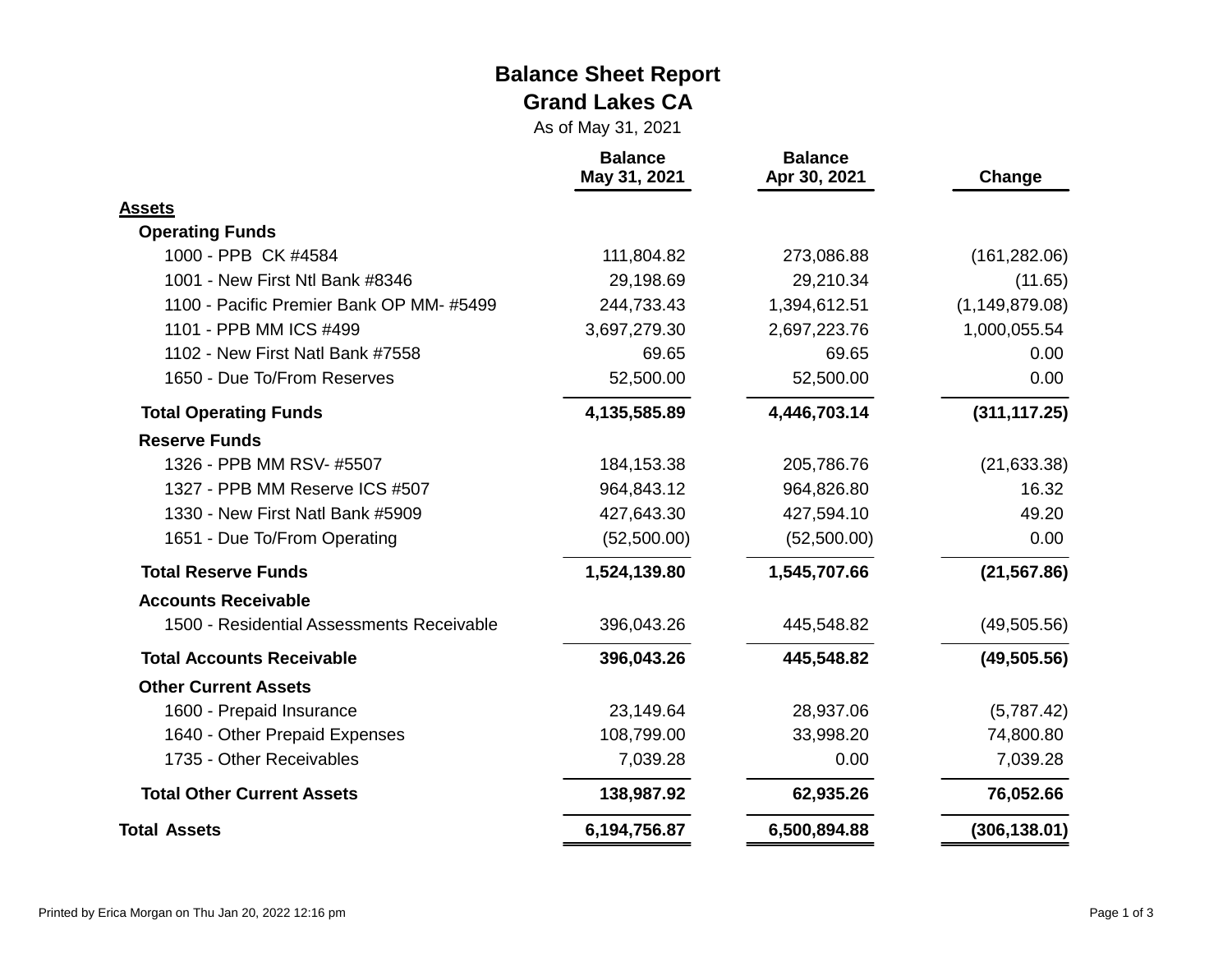#### **Balance Sheet Report Grand Lakes CA**

As of May 31, 2021

|                                           | <b>Balance</b><br>May 31, 2021 | <b>Balance</b><br>Apr 30, 2021 | Change           |
|-------------------------------------------|--------------------------------|--------------------------------|------------------|
| <b>Assets</b>                             |                                |                                |                  |
| <b>Operating Funds</b>                    |                                |                                |                  |
| 1000 - PPB CK #4584                       | 111,804.82                     | 273,086.88                     | (161, 282.06)    |
| 1001 - New First Ntl Bank #8346           | 29,198.69                      | 29,210.34                      | (11.65)          |
| 1100 - Pacific Premier Bank OP MM-#5499   | 244,733.43                     | 1,394,612.51                   | (1, 149, 879.08) |
| 1101 - PPB MM ICS #499                    | 3,697,279.30                   | 2,697,223.76                   | 1,000,055.54     |
| 1102 - New First Natl Bank #7558          | 69.65                          | 69.65                          | 0.00             |
| 1650 - Due To/From Reserves               | 52,500.00                      | 52,500.00                      | 0.00             |
| <b>Total Operating Funds</b>              | 4,135,585.89                   | 4,446,703.14                   | (311, 117.25)    |
| <b>Reserve Funds</b>                      |                                |                                |                  |
| 1326 - PPB MM RSV- #5507                  | 184, 153.38                    | 205,786.76                     | (21, 633.38)     |
| 1327 - PPB MM Reserve ICS #507            | 964,843.12                     | 964,826.80                     | 16.32            |
| 1330 - New First Natl Bank #5909          | 427,643.30                     | 427,594.10                     | 49.20            |
| 1651 - Due To/From Operating              | (52,500.00)                    | (52,500.00)                    | 0.00             |
| <b>Total Reserve Funds</b>                | 1,524,139.80                   | 1,545,707.66                   | (21, 567.86)     |
| <b>Accounts Receivable</b>                |                                |                                |                  |
| 1500 - Residential Assessments Receivable | 396,043.26                     | 445,548.82                     | (49, 505.56)     |
| <b>Total Accounts Receivable</b>          | 396,043.26                     | 445,548.82                     | (49, 505.56)     |
| <b>Other Current Assets</b>               |                                |                                |                  |
| 1600 - Prepaid Insurance                  | 23,149.64                      | 28,937.06                      | (5,787.42)       |
| 1640 - Other Prepaid Expenses             | 108,799.00                     | 33,998.20                      | 74,800.80        |
| 1735 - Other Receivables                  | 7,039.28                       | 0.00                           | 7,039.28         |
| <b>Total Other Current Assets</b>         | 138,987.92                     | 62,935.26                      | 76,052.66        |
| <b>Total Assets</b>                       | 6,194,756.87                   | 6,500,894.88                   | (306, 138.01)    |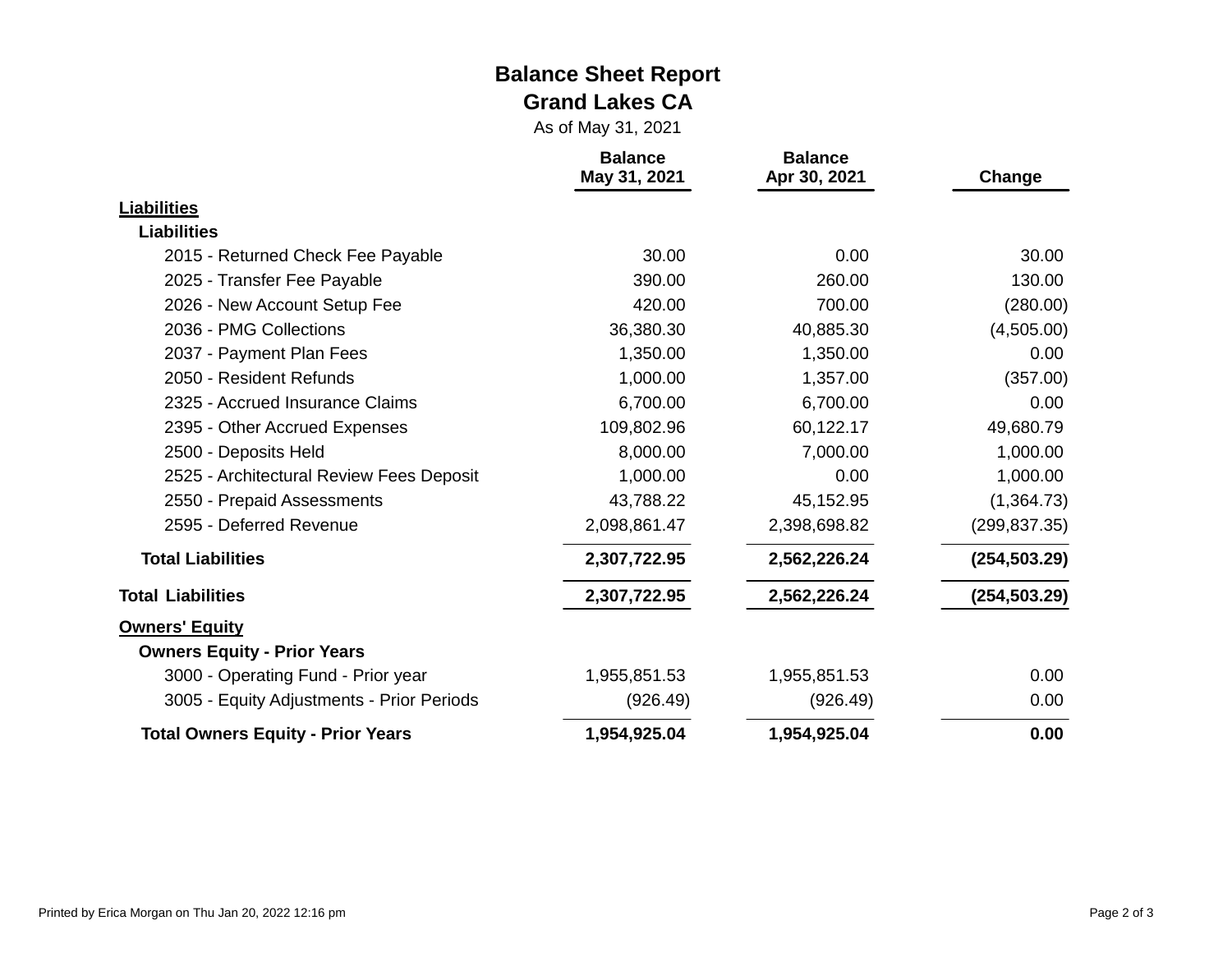#### **Balance Sheet Report Grand Lakes CA**

As of May 31, 2021

|                                           | <b>Balance</b><br>May 31, 2021 | <b>Balance</b><br>Apr 30, 2021 | Change        |
|-------------------------------------------|--------------------------------|--------------------------------|---------------|
| <b>Liabilities</b>                        |                                |                                |               |
| <b>Liabilities</b>                        |                                |                                |               |
| 2015 - Returned Check Fee Payable         | 30.00                          | 0.00                           | 30.00         |
| 2025 - Transfer Fee Payable               | 390.00                         | 260.00                         | 130.00        |
| 2026 - New Account Setup Fee              | 420.00                         | 700.00                         | (280.00)      |
| 2036 - PMG Collections                    | 36,380.30                      | 40,885.30                      | (4,505.00)    |
| 2037 - Payment Plan Fees                  | 1,350.00                       | 1,350.00                       | 0.00          |
| 2050 - Resident Refunds                   | 1,000.00                       | 1,357.00                       | (357.00)      |
| 2325 - Accrued Insurance Claims           | 6,700.00                       | 6,700.00                       | 0.00          |
| 2395 - Other Accrued Expenses             | 109,802.96                     | 60,122.17                      | 49,680.79     |
| 2500 - Deposits Held                      | 8,000.00                       | 7,000.00                       | 1,000.00      |
| 2525 - Architectural Review Fees Deposit  | 1,000.00                       | 0.00                           | 1,000.00      |
| 2550 - Prepaid Assessments                | 43,788.22                      | 45,152.95                      | (1,364.73)    |
| 2595 - Deferred Revenue                   | 2,098,861.47                   | 2,398,698.82                   | (299, 837.35) |
| <b>Total Liabilities</b>                  | 2,307,722.95                   | 2,562,226.24                   | (254, 503.29) |
| <b>Total Liabilities</b>                  | 2,307,722.95                   | 2,562,226.24                   | (254, 503.29) |
| <b>Owners' Equity</b>                     |                                |                                |               |
| <b>Owners Equity - Prior Years</b>        |                                |                                |               |
| 3000 - Operating Fund - Prior year        | 1,955,851.53                   | 1,955,851.53                   | 0.00          |
| 3005 - Equity Adjustments - Prior Periods | (926.49)                       | (926.49)                       | 0.00          |
| <b>Total Owners Equity - Prior Years</b>  | 1,954,925.04                   | 1,954,925.04                   | 0.00          |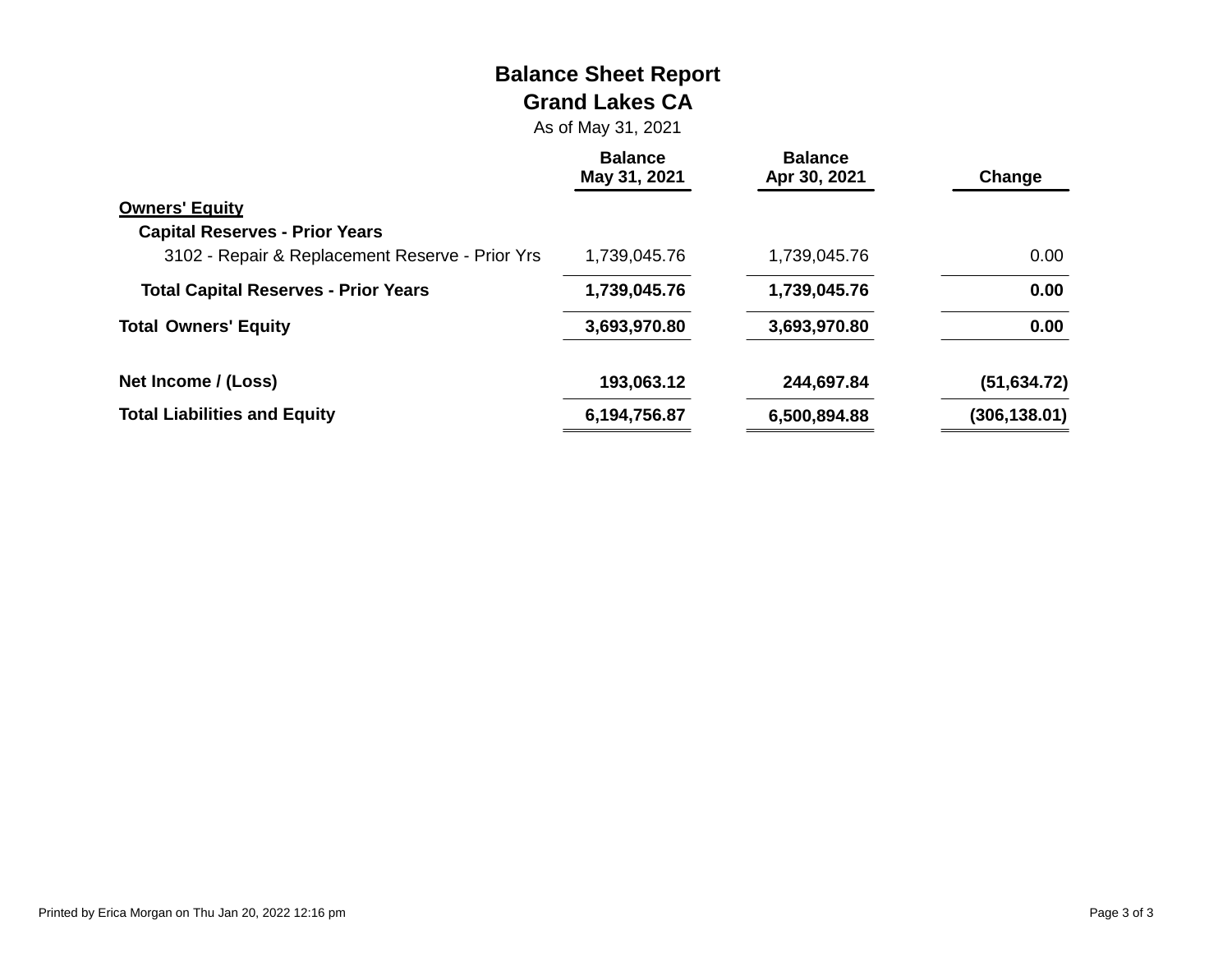#### **Balance Sheet Report Grand Lakes CA**

As of May 31, 2021

|                                                 | <b>Balance</b><br>May 31, 2021 | <b>Balance</b><br>Apr 30, 2021 | Change        |
|-------------------------------------------------|--------------------------------|--------------------------------|---------------|
| <b>Owners' Equity</b>                           |                                |                                |               |
| <b>Capital Reserves - Prior Years</b>           |                                |                                |               |
| 3102 - Repair & Replacement Reserve - Prior Yrs | 1,739,045.76                   | 1,739,045.76                   | 0.00          |
| <b>Total Capital Reserves - Prior Years</b>     | 1,739,045.76                   | 1,739,045.76                   | 0.00          |
| <b>Total Owners' Equity</b>                     | 3,693,970.80                   | 3,693,970.80                   | 0.00          |
| Net Income / (Loss)                             | 193,063.12                     | 244,697.84                     | (51, 634.72)  |
| <b>Total Liabilities and Equity</b>             | 6,194,756.87                   | 6,500,894.88                   | (306, 138.01) |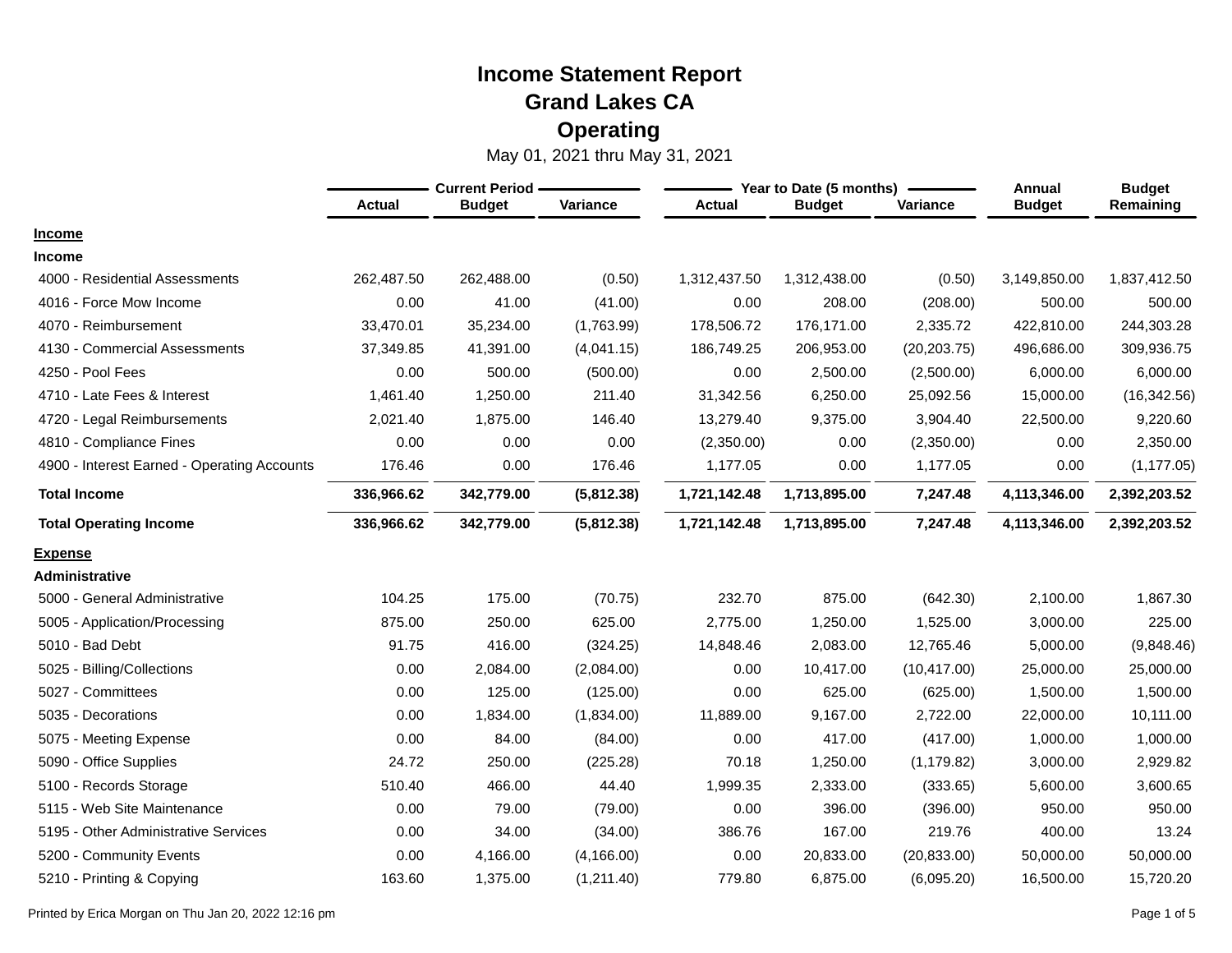|                                             | <b>Current Period -</b> |               |             |               | Year to Date (5 months) | Annual       | <b>Budget</b> |              |
|---------------------------------------------|-------------------------|---------------|-------------|---------------|-------------------------|--------------|---------------|--------------|
|                                             | <b>Actual</b>           | <b>Budget</b> | Variance    | <b>Actual</b> | <b>Budget</b>           | Variance     | <b>Budget</b> | Remaining    |
| <b>Income</b>                               |                         |               |             |               |                         |              |               |              |
| Income                                      |                         |               |             |               |                         |              |               |              |
| 4000 - Residential Assessments              | 262,487.50              | 262,488.00    | (0.50)      | 1,312,437.50  | 1,312,438.00            | (0.50)       | 3,149,850.00  | 1,837,412.50 |
| 4016 - Force Mow Income                     | 0.00                    | 41.00         | (41.00)     | 0.00          | 208.00                  | (208.00)     | 500.00        | 500.00       |
| 4070 - Reimbursement                        | 33,470.01               | 35,234.00     | (1,763.99)  | 178,506.72    | 176,171.00              | 2,335.72     | 422,810.00    | 244,303.28   |
| 4130 - Commercial Assessments               | 37,349.85               | 41,391.00     | (4,041.15)  | 186,749.25    | 206,953.00              | (20, 203.75) | 496,686.00    | 309,936.75   |
| 4250 - Pool Fees                            | 0.00                    | 500.00        | (500.00)    | 0.00          | 2,500.00                | (2,500.00)   | 6,000.00      | 6,000.00     |
| 4710 - Late Fees & Interest                 | 1,461.40                | 1,250.00      | 211.40      | 31,342.56     | 6,250.00                | 25,092.56    | 15,000.00     | (16, 342.56) |
| 4720 - Legal Reimbursements                 | 2,021.40                | 1,875.00      | 146.40      | 13,279.40     | 9,375.00                | 3,904.40     | 22,500.00     | 9,220.60     |
| 4810 - Compliance Fines                     | 0.00                    | 0.00          | 0.00        | (2,350.00)    | 0.00                    | (2,350.00)   | 0.00          | 2,350.00     |
| 4900 - Interest Earned - Operating Accounts | 176.46                  | 0.00          | 176.46      | 1,177.05      | 0.00                    | 1,177.05     | 0.00          | (1, 177.05)  |
| <b>Total Income</b>                         | 336,966.62              | 342,779.00    | (5,812.38)  | 1,721,142.48  | 1,713,895.00            | 7,247.48     | 4,113,346.00  | 2,392,203.52 |
| <b>Total Operating Income</b>               | 336,966.62              | 342,779.00    | (5,812.38)  | 1,721,142.48  | 1,713,895.00            | 7,247.48     | 4,113,346.00  | 2,392,203.52 |
| <b>Expense</b>                              |                         |               |             |               |                         |              |               |              |
| Administrative                              |                         |               |             |               |                         |              |               |              |
| 5000 - General Administrative               | 104.25                  | 175.00        | (70.75)     | 232.70        | 875.00                  | (642.30)     | 2,100.00      | 1,867.30     |
| 5005 - Application/Processing               | 875.00                  | 250.00        | 625.00      | 2,775.00      | 1,250.00                | 1,525.00     | 3,000.00      | 225.00       |
| 5010 - Bad Debt                             | 91.75                   | 416.00        | (324.25)    | 14,848.46     | 2,083.00                | 12,765.46    | 5,000.00      | (9,848.46)   |
| 5025 - Billing/Collections                  | 0.00                    | 2,084.00      | (2,084.00)  | 0.00          | 10,417.00               | (10, 417.00) | 25,000.00     | 25,000.00    |
| 5027 - Committees                           | 0.00                    | 125.00        | (125.00)    | 0.00          | 625.00                  | (625.00)     | 1,500.00      | 1,500.00     |
| 5035 - Decorations                          | 0.00                    | 1,834.00      | (1,834.00)  | 11,889.00     | 9,167.00                | 2,722.00     | 22,000.00     | 10,111.00    |
| 5075 - Meeting Expense                      | 0.00                    | 84.00         | (84.00)     | 0.00          | 417.00                  | (417.00)     | 1,000.00      | 1,000.00     |
| 5090 - Office Supplies                      | 24.72                   | 250.00        | (225.28)    | 70.18         | 1,250.00                | (1, 179.82)  | 3,000.00      | 2,929.82     |
| 5100 - Records Storage                      | 510.40                  | 466.00        | 44.40       | 1,999.35      | 2,333.00                | (333.65)     | 5,600.00      | 3,600.65     |
| 5115 - Web Site Maintenance                 | 0.00                    | 79.00         | (79.00)     | 0.00          | 396.00                  | (396.00)     | 950.00        | 950.00       |
| 5195 - Other Administrative Services        | 0.00                    | 34.00         | (34.00)     | 386.76        | 167.00                  | 219.76       | 400.00        | 13.24        |
| 5200 - Community Events                     | 0.00                    | 4,166.00      | (4, 166.00) | 0.00          | 20,833.00               | (20, 833.00) | 50,000.00     | 50,000.00    |
| 5210 - Printing & Copying                   | 163.60                  | 1,375.00      | (1,211.40)  | 779.80        | 6,875.00                | (6,095.20)   | 16,500.00     | 15,720.20    |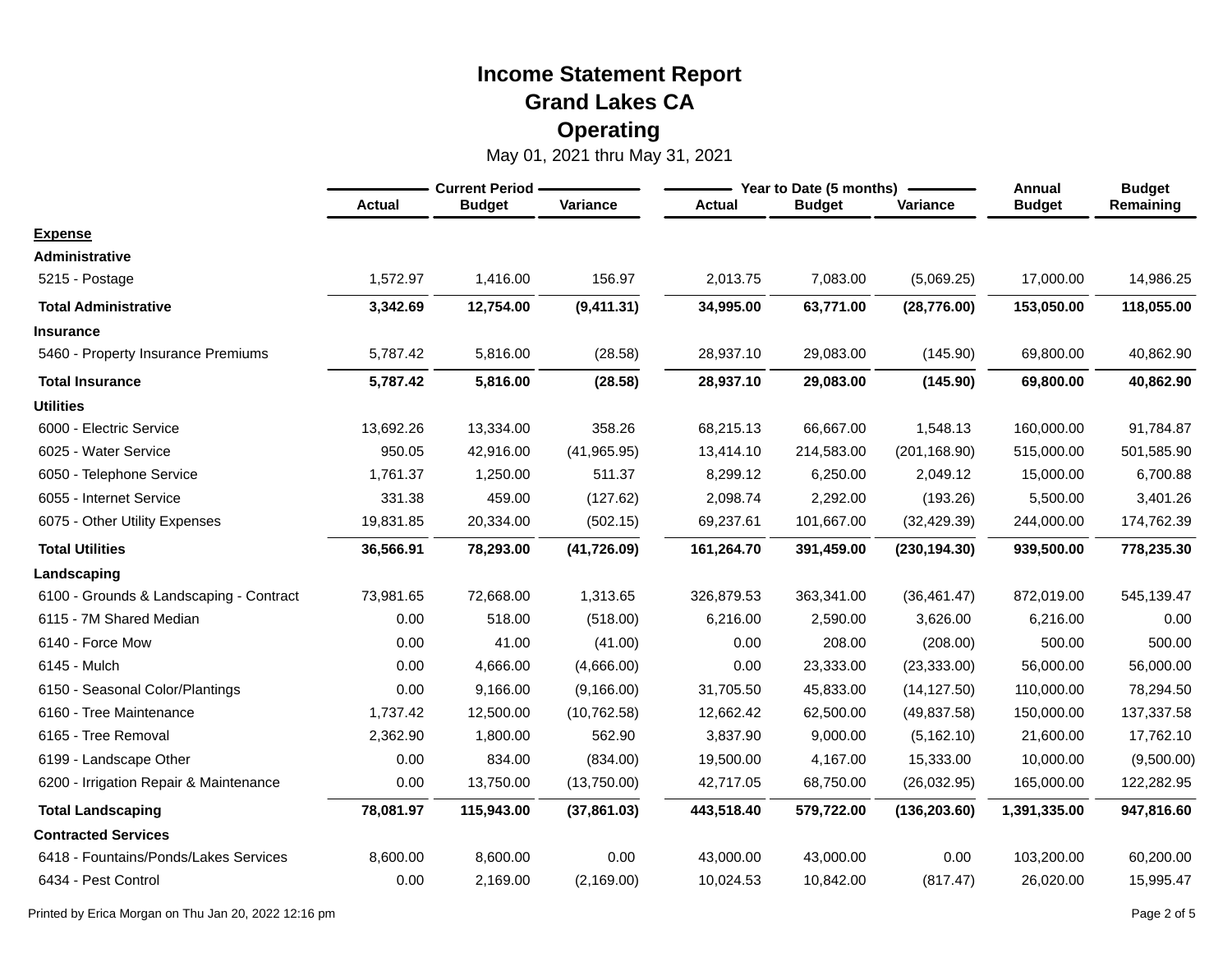|                                         | <b>Current Period</b> |               |              |               | Year to Date (5 months) | Annual        | <b>Budget</b> |            |
|-----------------------------------------|-----------------------|---------------|--------------|---------------|-------------------------|---------------|---------------|------------|
|                                         | <b>Actual</b>         | <b>Budget</b> | Variance     | <b>Actual</b> | <b>Budget</b>           | Variance      | <b>Budget</b> | Remaining  |
| <b>Expense</b>                          |                       |               |              |               |                         |               |               |            |
| Administrative                          |                       |               |              |               |                         |               |               |            |
| 5215 - Postage                          | 1,572.97              | 1,416.00      | 156.97       | 2,013.75      | 7,083.00                | (5,069.25)    | 17,000.00     | 14,986.25  |
| <b>Total Administrative</b>             | 3,342.69              | 12,754.00     | (9,411.31)   | 34,995.00     | 63,771.00               | (28, 776.00)  | 153,050.00    | 118,055.00 |
| <b>Insurance</b>                        |                       |               |              |               |                         |               |               |            |
| 5460 - Property Insurance Premiums      | 5,787.42              | 5,816.00      | (28.58)      | 28,937.10     | 29,083.00               | (145.90)      | 69,800.00     | 40,862.90  |
| <b>Total Insurance</b>                  | 5,787.42              | 5,816.00      | (28.58)      | 28,937.10     | 29,083.00               | (145.90)      | 69,800.00     | 40,862.90  |
| <b>Utilities</b>                        |                       |               |              |               |                         |               |               |            |
| 6000 - Electric Service                 | 13,692.26             | 13,334.00     | 358.26       | 68,215.13     | 66,667.00               | 1,548.13      | 160,000.00    | 91,784.87  |
| 6025 - Water Service                    | 950.05                | 42,916.00     | (41, 965.95) | 13,414.10     | 214,583.00              | (201, 168.90) | 515,000.00    | 501,585.90 |
| 6050 - Telephone Service                | 1,761.37              | 1,250.00      | 511.37       | 8,299.12      | 6,250.00                | 2,049.12      | 15,000.00     | 6,700.88   |
| 6055 - Internet Service                 | 331.38                | 459.00        | (127.62)     | 2,098.74      | 2,292.00                | (193.26)      | 5,500.00      | 3,401.26   |
| 6075 - Other Utility Expenses           | 19,831.85             | 20,334.00     | (502.15)     | 69,237.61     | 101,667.00              | (32, 429.39)  | 244,000.00    | 174,762.39 |
| <b>Total Utilities</b>                  | 36,566.91             | 78,293.00     | (41, 726.09) | 161,264.70    | 391,459.00              | (230, 194.30) | 939,500.00    | 778,235.30 |
| Landscaping                             |                       |               |              |               |                         |               |               |            |
| 6100 - Grounds & Landscaping - Contract | 73,981.65             | 72,668.00     | 1,313.65     | 326,879.53    | 363,341.00              | (36, 461.47)  | 872,019.00    | 545,139.47 |
| 6115 - 7M Shared Median                 | 0.00                  | 518.00        | (518.00)     | 6,216.00      | 2,590.00                | 3,626.00      | 6,216.00      | 0.00       |
| 6140 - Force Mow                        | 0.00                  | 41.00         | (41.00)      | 0.00          | 208.00                  | (208.00)      | 500.00        | 500.00     |
| 6145 - Mulch                            | 0.00                  | 4,666.00      | (4,666.00)   | 0.00          | 23,333.00               | (23, 333.00)  | 56,000.00     | 56,000.00  |
| 6150 - Seasonal Color/Plantings         | 0.00                  | 9,166.00      | (9, 166.00)  | 31,705.50     | 45,833.00               | (14, 127.50)  | 110,000.00    | 78,294.50  |
| 6160 - Tree Maintenance                 | 1,737.42              | 12,500.00     | (10, 762.58) | 12,662.42     | 62,500.00               | (49, 837.58)  | 150,000.00    | 137,337.58 |
| 6165 - Tree Removal                     | 2,362.90              | 1,800.00      | 562.90       | 3,837.90      | 9,000.00                | (5, 162.10)   | 21,600.00     | 17,762.10  |
| 6199 - Landscape Other                  | 0.00                  | 834.00        | (834.00)     | 19,500.00     | 4,167.00                | 15,333.00     | 10,000.00     | (9,500.00) |
| 6200 - Irrigation Repair & Maintenance  | 0.00                  | 13,750.00     | (13,750.00)  | 42,717.05     | 68,750.00               | (26,032.95)   | 165,000.00    | 122,282.95 |
| <b>Total Landscaping</b>                | 78,081.97             | 115,943.00    | (37, 861.03) | 443,518.40    | 579,722.00              | (136, 203.60) | 1,391,335.00  | 947,816.60 |
| <b>Contracted Services</b>              |                       |               |              |               |                         |               |               |            |
| 6418 - Fountains/Ponds/Lakes Services   | 8,600.00              | 8,600.00      | 0.00         | 43,000.00     | 43,000.00               | 0.00          | 103,200.00    | 60,200.00  |
| 6434 - Pest Control                     | 0.00                  | 2,169.00      | (2, 169.00)  | 10,024.53     | 10,842.00               | (817.47)      | 26,020.00     | 15,995.47  |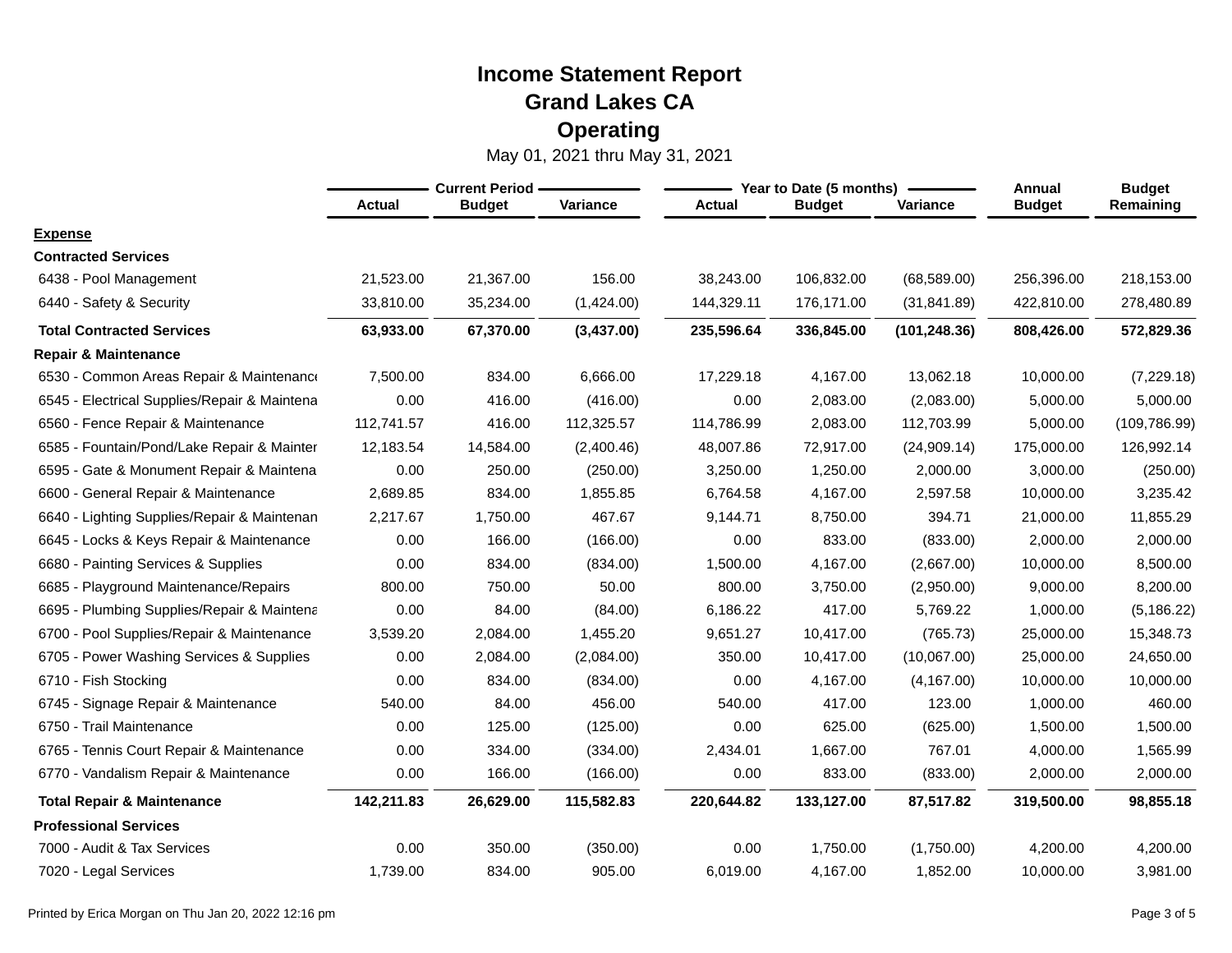|                                              | <b>Current Period -</b> |               |                 |               | Year to Date (5 months) | Annual        | <b>Budget</b> |               |
|----------------------------------------------|-------------------------|---------------|-----------------|---------------|-------------------------|---------------|---------------|---------------|
|                                              | <b>Actual</b>           | <b>Budget</b> | <b>Variance</b> | <b>Actual</b> | <b>Budget</b>           | Variance      | <b>Budget</b> | Remaining     |
| <b>Expense</b>                               |                         |               |                 |               |                         |               |               |               |
| <b>Contracted Services</b>                   |                         |               |                 |               |                         |               |               |               |
| 6438 - Pool Management                       | 21,523.00               | 21,367.00     | 156.00          | 38,243.00     | 106,832.00              | (68, 589.00)  | 256,396.00    | 218,153.00    |
| 6440 - Safety & Security                     | 33,810.00               | 35,234.00     | (1,424.00)      | 144,329.11    | 176,171.00              | (31, 841.89)  | 422,810.00    | 278,480.89    |
| <b>Total Contracted Services</b>             | 63,933.00               | 67,370.00     | (3,437.00)      | 235,596.64    | 336,845.00              | (101, 248.36) | 808,426.00    | 572,829.36    |
| <b>Repair &amp; Maintenance</b>              |                         |               |                 |               |                         |               |               |               |
| 6530 - Common Areas Repair & Maintenance     | 7,500.00                | 834.00        | 6,666.00        | 17,229.18     | 4,167.00                | 13,062.18     | 10,000.00     | (7,229.18)    |
| 6545 - Electrical Supplies/Repair & Maintena | 0.00                    | 416.00        | (416.00)        | 0.00          | 2,083.00                | (2,083.00)    | 5,000.00      | 5,000.00      |
| 6560 - Fence Repair & Maintenance            | 112,741.57              | 416.00        | 112,325.57      | 114,786.99    | 2,083.00                | 112,703.99    | 5,000.00      | (109, 786.99) |
| 6585 - Fountain/Pond/Lake Repair & Mainter   | 12,183.54               | 14,584.00     | (2,400.46)      | 48,007.86     | 72,917.00               | (24,909.14)   | 175,000.00    | 126,992.14    |
| 6595 - Gate & Monument Repair & Maintena     | 0.00                    | 250.00        | (250.00)        | 3,250.00      | 1,250.00                | 2,000.00      | 3,000.00      | (250.00)      |
| 6600 - General Repair & Maintenance          | 2,689.85                | 834.00        | 1,855.85        | 6,764.58      | 4,167.00                | 2,597.58      | 10,000.00     | 3,235.42      |
| 6640 - Lighting Supplies/Repair & Maintenan  | 2,217.67                | 1,750.00      | 467.67          | 9,144.71      | 8,750.00                | 394.71        | 21,000.00     | 11,855.29     |
| 6645 - Locks & Keys Repair & Maintenance     | 0.00                    | 166.00        | (166.00)        | 0.00          | 833.00                  | (833.00)      | 2,000.00      | 2,000.00      |
| 6680 - Painting Services & Supplies          | 0.00                    | 834.00        | (834.00)        | 1,500.00      | 4,167.00                | (2,667.00)    | 10,000.00     | 8,500.00      |
| 6685 - Playground Maintenance/Repairs        | 800.00                  | 750.00        | 50.00           | 800.00        | 3,750.00                | (2,950.00)    | 9,000.00      | 8,200.00      |
| 6695 - Plumbing Supplies/Repair & Maintena   | 0.00                    | 84.00         | (84.00)         | 6,186.22      | 417.00                  | 5,769.22      | 1,000.00      | (5, 186.22)   |
| 6700 - Pool Supplies/Repair & Maintenance    | 3,539.20                | 2,084.00      | 1,455.20        | 9,651.27      | 10,417.00               | (765.73)      | 25,000.00     | 15,348.73     |
| 6705 - Power Washing Services & Supplies     | 0.00                    | 2,084.00      | (2,084.00)      | 350.00        | 10,417.00               | (10,067.00)   | 25,000.00     | 24,650.00     |
| 6710 - Fish Stocking                         | 0.00                    | 834.00        | (834.00)        | 0.00          | 4,167.00                | (4, 167.00)   | 10,000.00     | 10,000.00     |
| 6745 - Signage Repair & Maintenance          | 540.00                  | 84.00         | 456.00          | 540.00        | 417.00                  | 123.00        | 1,000.00      | 460.00        |
| 6750 - Trail Maintenance                     | 0.00                    | 125.00        | (125.00)        | 0.00          | 625.00                  | (625.00)      | 1,500.00      | 1,500.00      |
| 6765 - Tennis Court Repair & Maintenance     | 0.00                    | 334.00        | (334.00)        | 2,434.01      | 1,667.00                | 767.01        | 4,000.00      | 1,565.99      |
| 6770 - Vandalism Repair & Maintenance        | 0.00                    | 166.00        | (166.00)        | 0.00          | 833.00                  | (833.00)      | 2,000.00      | 2,000.00      |
| <b>Total Repair &amp; Maintenance</b>        | 142,211.83              | 26,629.00     | 115,582.83      | 220,644.82    | 133,127.00              | 87,517.82     | 319,500.00    | 98,855.18     |
| <b>Professional Services</b>                 |                         |               |                 |               |                         |               |               |               |
| 7000 - Audit & Tax Services                  | 0.00                    | 350.00        | (350.00)        | 0.00          | 1,750.00                | (1,750.00)    | 4,200.00      | 4,200.00      |
| 7020 - Legal Services                        | 1,739.00                | 834.00        | 905.00          | 6,019.00      | 4,167.00                | 1,852.00      | 10,000.00     | 3,981.00      |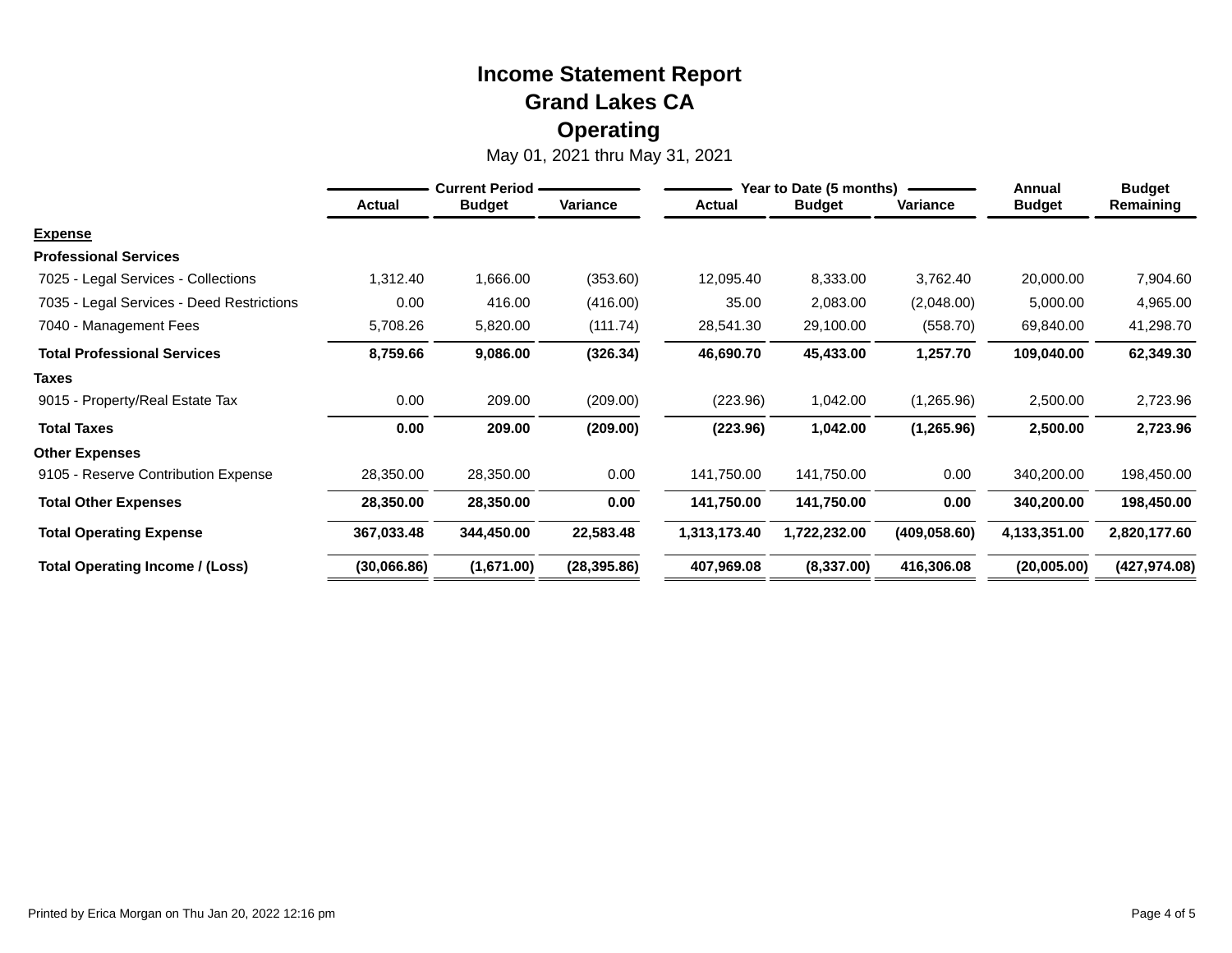|                                           | <b>Current Period -</b> |               |              | Year to Date (5 months) |               |               | Annual        | <b>Budget</b> |
|-------------------------------------------|-------------------------|---------------|--------------|-------------------------|---------------|---------------|---------------|---------------|
|                                           | <b>Actual</b>           | <b>Budget</b> | Variance     | <b>Actual</b>           | <b>Budget</b> | Variance      | <b>Budget</b> | Remaining     |
| <b>Expense</b>                            |                         |               |              |                         |               |               |               |               |
| <b>Professional Services</b>              |                         |               |              |                         |               |               |               |               |
| 7025 - Legal Services - Collections       | 1,312.40                | 1,666.00      | (353.60)     | 12,095.40               | 8,333.00      | 3,762.40      | 20,000.00     | 7,904.60      |
| 7035 - Legal Services - Deed Restrictions | 0.00                    | 416.00        | (416.00)     | 35.00                   | 2,083.00      | (2,048.00)    | 5,000.00      | 4,965.00      |
| 7040 - Management Fees                    | 5,708.26                | 5,820.00      | (111.74)     | 28,541.30               | 29,100.00     | (558.70)      | 69,840.00     | 41,298.70     |
| <b>Total Professional Services</b>        | 8,759.66                | 9,086.00      | (326.34)     | 46,690.70               | 45,433.00     | 1,257.70      | 109,040.00    | 62,349.30     |
| <b>Taxes</b>                              |                         |               |              |                         |               |               |               |               |
| 9015 - Property/Real Estate Tax           | 0.00                    | 209.00        | (209.00)     | (223.96)                | 1,042.00      | (1,265.96)    | 2,500.00      | 2,723.96      |
| <b>Total Taxes</b>                        | 0.00                    | 209.00        | (209.00)     | (223.96)                | 1,042.00      | (1,265.96)    | 2,500.00      | 2,723.96      |
| <b>Other Expenses</b>                     |                         |               |              |                         |               |               |               |               |
| 9105 - Reserve Contribution Expense       | 28,350.00               | 28,350.00     | 0.00         | 141,750.00              | 141,750.00    | 0.00          | 340,200.00    | 198,450.00    |
| <b>Total Other Expenses</b>               | 28,350.00               | 28,350.00     | 0.00         | 141,750.00              | 141,750.00    | 0.00          | 340,200.00    | 198,450.00    |
| <b>Total Operating Expense</b>            | 367,033.48              | 344,450.00    | 22,583.48    | 1,313,173.40            | 1,722,232.00  | (409, 058.60) | 4,133,351.00  | 2,820,177.60  |
| Total Operating Income / (Loss)           | (30,066.86)             | (1,671.00)    | (28, 395.86) | 407,969.08              | (8,337.00)    | 416,306.08    | (20,005.00)   | (427, 974.08) |